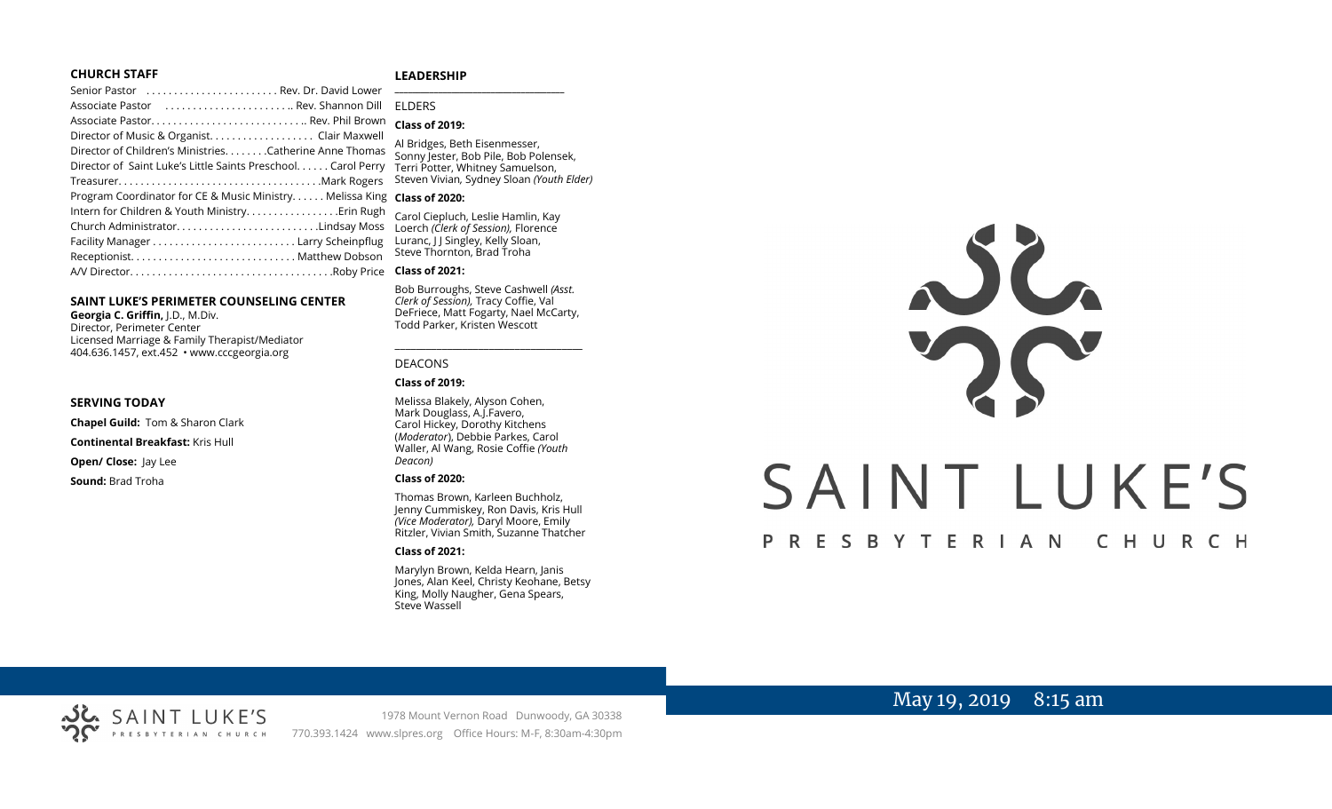#### **CHURCH STAFF**

#### **LEADERSHIP**

| Senior Pastor  Rev. Dr. David Lower                           | $\overline{\phantom{0}}$ |
|---------------------------------------------------------------|--------------------------|
| Associate Pastor  Rev. Shannon Dill                           | ΕI                       |
|                                                               | <b>CI</b>                |
| Director of Music & Organist. Clair Maxwell                   | AI                       |
| Director of Children's MinistriesCatherine Anne Thomas        | S                        |
| Director of Saint Luke's Little Saints Preschool. Carol Perry | Tε                       |
|                                                               | St                       |
| Program Coordinator for CE & Music Ministry Melissa King      | $\mathsf{C}$             |
| Intern for Children & Youth Ministry Erin Rugh                | Cá                       |
| Church AdministratorLindsay Moss                              | Lc                       |
|                                                               | Lι                       |
|                                                               | St                       |
|                                                               | <b>CI</b>                |
|                                                               |                          |

#### **SAINT LUKE'S PERIMETER COUNSELING CENTER**

**Georgia C. Griffin,** J.D., M.Div. Director, Perimeter Center Licensed Marriage & Family Therapist/Mediator 404.636.1457, ext.452 • www.cccgeorgia.org

#### **SERVING TODAY**

**Chapel Guild:** Tom & Sharon Clark

**Continental Breakfast:** Kris Hull

**Open/ Close: Jay Lee** 

**Sound:** Brad Troha

### **\_\_\_\_\_\_\_\_\_\_\_\_\_\_\_\_\_\_\_\_\_\_\_\_\_\_\_\_\_\_\_\_\_\_\_\_\_\_\_** ELDERS

#### **Class of 2019:**

Bridges, Beth Eisenmesser, Sonny Jester, Bob Pile, Bob Polensek, erri Potter, Whitney Samuelson, Steven Vivian*,* Sydney Sloan *(Youth Elder)*

#### **Class of 2020:**

arol Ciepluch, Leslie Hamlin, Kay Loerch *(Clerk of Session),* Florence Luranc, J J Singley, Kelly Sloan,  $\frac{1}{2}$  Thornton, Brad Troha

#### **Class of 2021:**

Bob Burroughs, Steve Cashwell *(Asst. Clerk of Session),* Tracy Coffie, Val DeFriece, Matt Fogarty, Nael McCarty, Todd Parker, Kristen Wescott

\_\_\_\_\_\_\_\_\_\_\_\_\_\_\_\_\_\_\_\_\_\_\_\_\_\_\_\_\_\_\_\_\_\_\_\_

#### DEACONS

#### **Class of 2019:**

Melissa Blakely, Alyson Cohen, Mark Douglass, A.J.Favero, Carol Hickey, Dorothy Kitchens (*Moderator*), Debbie Parkes, Carol Waller, Al Wang, Rosie Coffie *(Youth Deacon)* 

#### **Class of 2020:**

Thomas Brown, Karleen Buchholz, Jenny Cummiskey, Ron Davis, Kris Hull *(Vice Moderator),* Daryl Moore, Emily Ritzler, Vivian Smith, Suzanne Thatcher

#### **Class of 2021:**

Marylyn Brown, Kelda Hearn, Janis Jones, Alan Keel, Christy Keohane, Betsy King, Molly Naugher, Gena Spears, Steve Wassell



# May 19, 2019 8:15 am



1978 Mount Vernon Road Dunwoody, GA 30338 PRESBYTERIAN CHURCH 770.393.1424 www.slpres.org Office Hours: M-F, 8:30am-4:30pm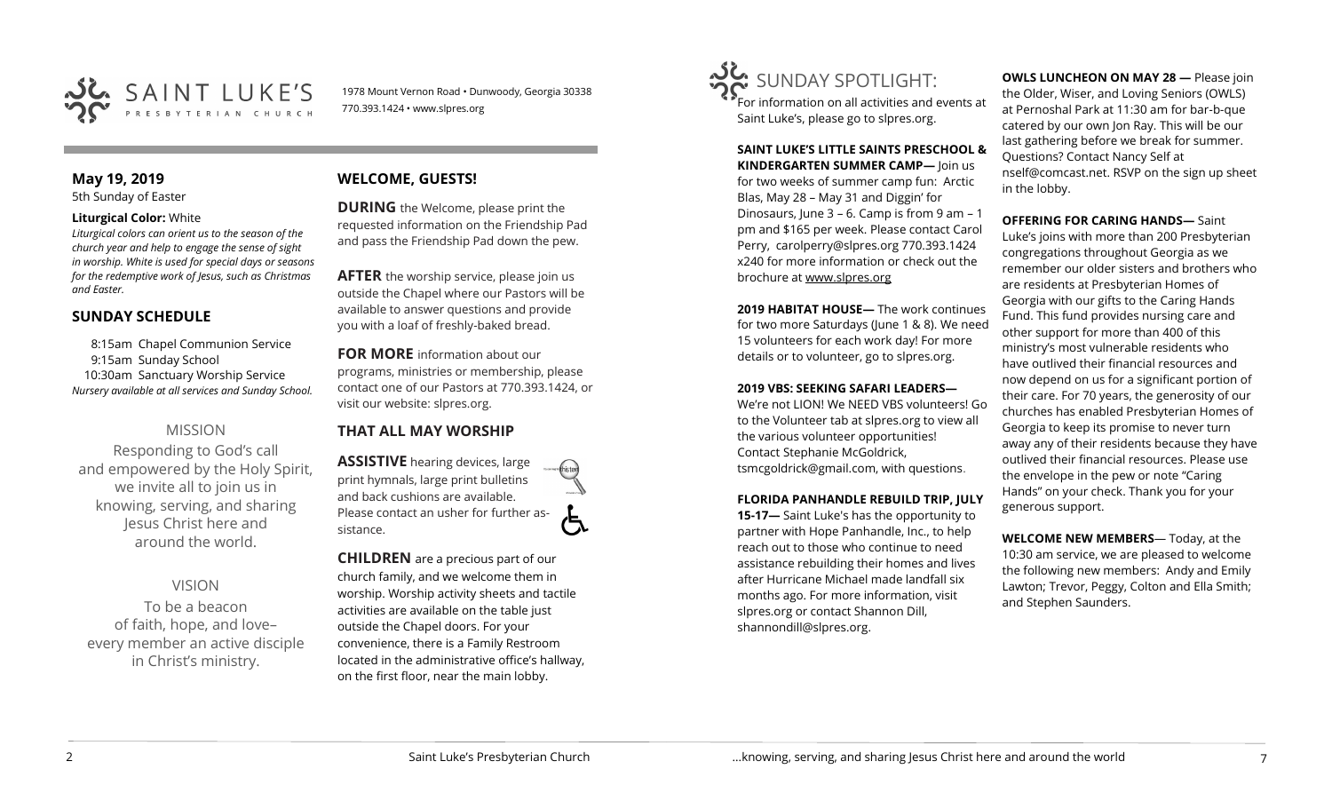

1978 Mount Vernon Road • Dunwoody, Georgia 30338 770.393.1424 • www.slpres.org

# **May 19, 2019**

5th Sunday of Easter

### **Liturgical Color:** White

*Liturgical colors can orient us to the season of the church year and help to engage the sense of sight in worship. White is used for special days or seasons for the redemptive work of Jesus, such as Christmas and Easter.*

# **SUNDAY SCHEDULE**

8:15am Chapel Communion Service 9:15am Sunday School 10:30am Sanctuary Worship Service *Nursery available at all services and Sunday School.* 

# MISSION

Responding to God's call and empowered by the Holy Spirit, we invite all to join us in knowing, serving, and sharing Jesus Christ here and around the world.

# VISION

To be a beacon of faith, hope, and love– every member an active disciple in Christ's ministry.

# **WELCOME, GUESTS!**

**DURING** the Welcome, please print the requested information on the Friendship Pad and pass the Friendship Pad down the pew.

**AFTER** the worship service, please join us outside the Chapel where our Pastors will be available to answer questions and provide you with a loaf of freshly-baked bread.

**FOR MORE** information about our programs, ministries or membership, please contact one of our Pastors at 770.393.1424, or visit our website: slpres.org.

# **THAT ALL MAY WORSHIP**

**ASSISTIVE** hearing devices, large print hymnals, large print bulletins and back cushions are available. Please contact an usher for further assistance.

**CHILDREN** are a precious part of our church family, and we welcome them in worship. Worship activity sheets and tactile activities are available on the table just outside the Chapel doors. For your convenience, there is a Family Restroom located in the administrative office's hallway, on the first floor, near the main lobby.



For information on all activities and events at Saint Luke's, please go to slpres.org.

**SAINT LUKE'S LITTLE SAINTS PRESCHOOL & KINDERGARTEN SUMMER CAMP—** Join us for two weeks of summer camp fun: Arctic Blas, May 28 – May 31 and Diggin' for Dinosaurs, June 3 – 6. Camp is from 9 am – 1 pm and \$165 per week. Please contact Carol Perry, [carolperry@slpres.org](mailto:carolperry@slpres.org) 770.393.1424 x240 for more information or check out the brochure at [www.slpres.org](http://www.slpres.org)

**2019 HABITAT HOUSE—** The work continues for two more Saturdays (June 1 & 8). We need 15 volunteers for each work day! For more details or to volunteer, go to slpres.org.

## **2019 VBS: SEEKING SAFARI LEADERS—**

We're not LION! We NEED VBS volunteers! Go to the Volunteer tab at slpres.org to view all the various volunteer opportunities! Contact Stephanie McGoldrick, tsmcgoldrick@gmail.com, with questions.

## **FLORIDA PANHANDLE REBUILD TRIP, JULY**

**15-17—** Saint Luke's has the opportunity to partner with Hope Panhandle, Inc., to help reach out to those who continue to need assistance rebuilding their homes and lives after Hurricane Michael made landfall six months ago. For more information, visit slpres.org or contact Shannon Dill, shannondill@slpres.org.

**OWLS LUNCHEON ON MAY 28 —** Please join the Older, Wiser, and Loving Seniors (OWLS) at Pernoshal Park at 11:30 am for bar-b-que catered by our own Jon Ray. This will be our last gathering before we break for summer. Questions? Contact Nancy Self at nself@comcast.net. RSVP on the sign up sheet in the lobby.

**OFFERING FOR CARING HANDS—** Saint Luke's joins with more than 200 Presbyterian congregations throughout Georgia as we remember our older sisters and brothers who are residents at Presbyterian Homes of Georgia with our gifts to the Caring Hands Fund. This fund provides nursing care and other support for more than 400 of this ministry's most vulnerable residents who have outlived their financial resources and now depend on us for a significant portion of their care. For 70 years, the generosity of our churches has enabled Presbyterian Homes of Georgia to keep its promise to never turn away any of their residents because they have outlived their financial resources. Please use the envelope in the pew or note "Caring Hands" on your check. Thank you for your generous support.

**WELCOME NEW MEMBERS**— Today, at the 10:30 am service, we are pleased to welcome the following new members: Andy and Emily Lawton; Trevor, Peggy, Colton and Ella Smith; and Stephen Saunders.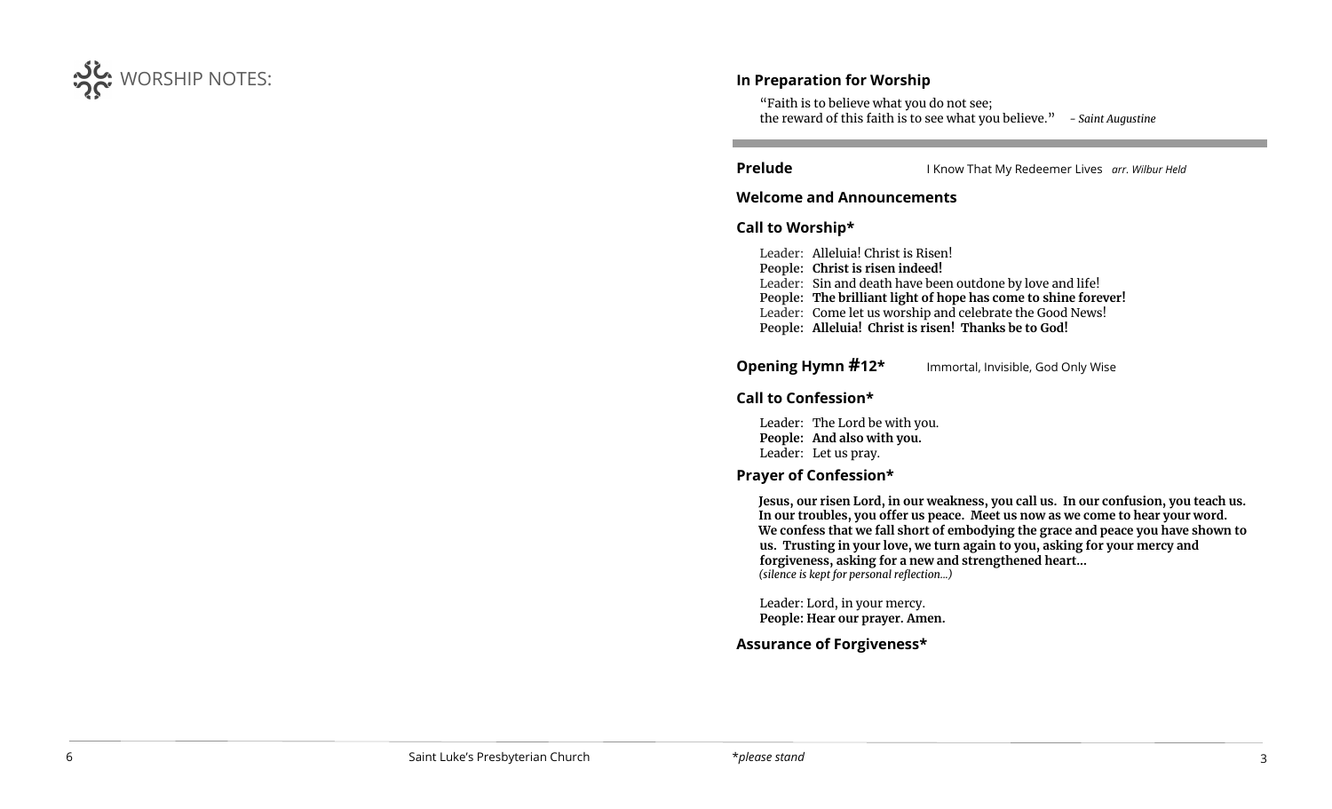

# **In Preparation for Worship**

"Faith is to believe what you do not see; the reward of this faith is to see what you believe." *- Saint Augustine*

l

 $\overline{a}$ 

**Prelude** I Know That My Redeemer Lives *arr. Wilbur Held* 

# **Welcome and Announcements**

# **Call to Worship\***

Leader: Alleluia! Christ is Risen! **People: Christ is risen indeed!** Leader: Sin and death have been outdone by love and life! **People: The brilliant light of hope has come to shine forever!** Leader: Come let us worship and celebrate the Good News! **People: Alleluia! Christ is risen! Thanks be to God!**

**Opening Hymn #12\*** Immortal, Invisible, God Only Wise

# **Call to Confession\***

Leader: The Lord be with you. **People: And also with you.**  Leader: Let us pray.

# **Prayer of Confession\***

**Jesus, our risen Lord, in our weakness, you call us. In our confusion, you teach us. In our troubles, you offer us peace. Meet us now as we come to hear your word. We confess that we fall short of embodying the grace and peace you have shown to us. Trusting in your love, we turn again to you, asking for your mercy and forgiveness, asking for a new and strengthened heart...** *(silence is kept for personal reflection...)*

Leader: Lord, in your mercy. **People: Hear our prayer. Amen.**

# **Assurance of Forgiveness\***